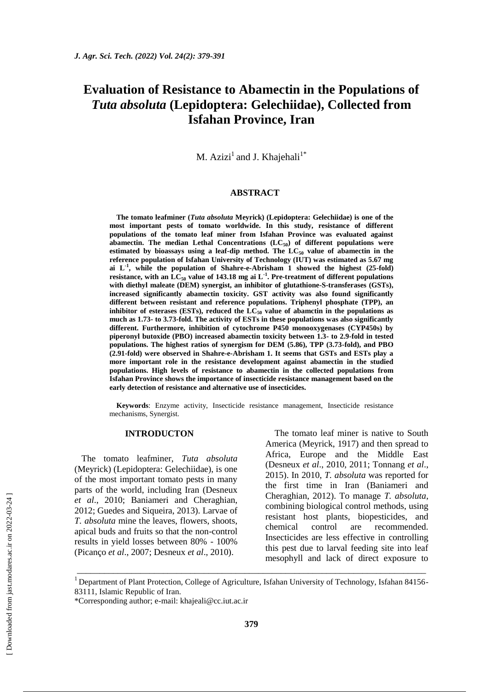# **Evaluation of Resistance to Abamectin in the Populations of**  *Tuta absoluta* **(Lepidoptera: Gelechiidae), Collected from Isfahan Province, Iran**

M.  $Azizi<sup>1</sup>$  and J. Khajehali<sup>1\*</sup>

#### **ABSTRACT**

**The tomato leafminer (***Tuta absoluta* **Meyrick) (Lepidoptera: Gelechiidae) is one of the most important pests of tomato worldwide. In this study, resistance of different populations of the tomato leaf miner from Isfahan Province was evaluated against abamectin. The median Lethal Concentrations (LC50) of different populations were**  estimated by bioassays using a leaf-dip method. The  $LC_{50}$  value of abamectin in the **reference population of Isfahan University of Technology (IUT) was estimated as 5.67 mg**  ai  $L<sup>-1</sup>$ , while the population of Shahre-e-Abrisham 1 showed the highest  $(25$ -fold) **resistance, with an LC<sup>50</sup> value of 143.18 mg ai L-1 . Pre-treatment of different populations with diethyl maleate (DEM) synergist, an inhibitor of glutathione-S-transferases (GSTs), increased significantly abamectin toxicity. GST activity was also found significantly different between resistant and reference populations. Triphenyl phosphate (TPP), an**  inhibitor of esterases (ESTs), reduced the LC<sub>50</sub> value of abamctin in the populations as **much as 1.73- to 3.73-fold. The activity of ESTs in these populations was also significantly different. Furthermore, inhibition of cytochrome P450 monooxygenases (CYP450s) by piperonyl butoxide (PBO) increased abamectin toxicity between 1.3- to 2.9-fold in tested populations. The highest ratios of synergism for DEM (5.86), TPP (3.73-fold), and PBO (2.91-fold) were observed in Shahre-e-Abrisham 1. It seems that GSTs and ESTs play a more important role in the resistance development against abamectin in the studied populations. High levels of resistance to abamectin in the collected populations from Isfahan Province shows the importance of insecticide resistance management based on the early detection of resistance and alternative use of insecticides.**

**Keywords**: Enzyme activity, Insecticide resistance management, Insecticide resistance mechanisms, Synergist.

# **INTRODUCTON**

The tomato leafminer, *Tuta absoluta* (Meyrick) (Lepidoptera: Gelechiidae), is one of the most important tomato pests in many parts of the world, including Iran (Desneux *et al*., 2010; Baniameri and Cheraghian, 2012; Guedes and Siqueira, 2013). Larvae of *T. absoluta* mine the leaves, flowers, shoots, apical buds and fruits so that the non-control results in yield losses between 80% - 100% (Picanço *et al*., 2007; Desneux *et al*., 2010).

The tomato leaf miner is native to South America (Meyrick, 1917) and then spread to Africa, Europe and the Middle East (Desneux *et al*., 2010, 2011; Tonnang *et al*., 2015). In 2010, *T. absoluta* was reported for the first time in Iran (Baniameri and Cheraghian, 2012). To manage *T. absoluta*, combining biological control methods, using resistant host plants, biopesticides, and chemical control are recommended. Insecticides are less effective in controlling this pest due to larval feeding site into leaf mesophyll and lack of direct exposure to

\_\_\_\_\_\_\_\_\_\_\_\_\_\_\_\_\_\_\_\_\_\_\_\_\_\_\_\_\_\_\_\_\_\_\_\_\_\_\_\_\_\_\_\_\_\_\_\_\_\_\_\_\_\_\_\_\_\_\_\_\_\_\_\_\_\_\_\_\_\_\_\_\_\_\_\_\_

<sup>&</sup>lt;sup>1</sup> Department of Plant Protection, College of Agriculture, Isfahan University of Technology, Isfahan 84156-83111, Islamic Republic of Iran.

<sup>\*</sup>Corresponding author; e-mail: [khajeali@cc.iut.ac.ir](mailto:khajeali@cc.iut.ac.ir)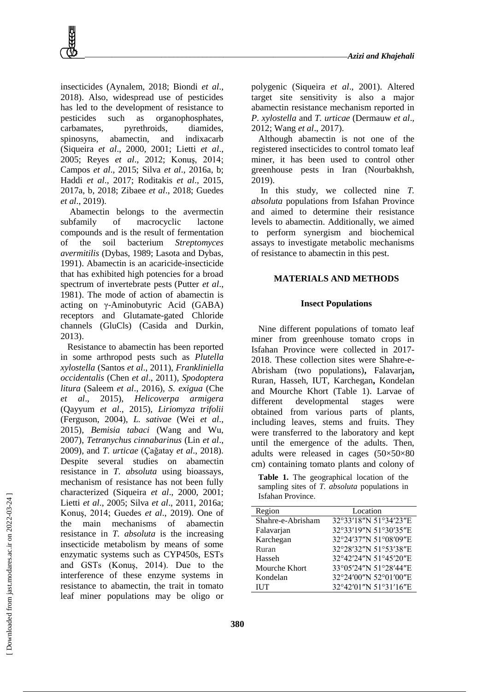insecticides (Aynalem, 2018; Biondi *et al*., 2018). Also, widespread use of pesticides has led to the development of resistance to pesticides such as organophosphates, carbamates, pyrethroids, diamides, spinosyns, abamectin, and indixacarb (Siqueira *et al*., 2000, 2001; Lietti *et al*., 2005; Reyes *et al*., 2012; Konuş, 2014; Campos *et al*., 2015; Silva *et al*., 2016a, b; Haddi *et al*., 2017; Roditakis *et al*., 2015, 2017a, b, 2018; Zibaee *et al*., 2018; Guedes *et al*., 2019).

Abamectin belongs to the avermectin subfamily of macrocyclic lactone compounds and is the result of fermentation of the soil bacterium *Streptomyces avermitilis* (Dybas, 1989; Lasota and Dybas, 1991). Abamectin is an acaricide-insecticide that has exhibited high potencies for a broad spectrum of invertebrate pests (Putter *et al*., 1981). The mode of action of abamectin is acting on γ-Aminobutyric Acid (GABA) receptors and Glutamate-gated Chloride channels (GluCls) (Casida and Durkin, 2013).

Resistance to abamectin has been reported in some arthropod pests such as *Plutella xylostella* (Santos *et al*., 2011), *Frankliniella occidentalis* (Chen *et al*., 2011), *Spodoptera litura* (Saleem *et al*., 2016), *S. exigua* (Che *et al*., 2015), *Helicoverpa armigera* (Qayyum *et al*., 2015), *Liriomyza trifolii* (Ferguson, 2004), *L. sativae* (Wei *et al*., 2015)*, Bemisia tabaci* (Wang and Wu, 2007), *Tetranychus cinnabarinus* (Lin *et al*., 2009), and *T. urticae* (Çağatay *et al*., 2018). Despite several studies on abamectin resistance in *T. absoluta* using bioassays, mechanism of resistance has not been fully characterized (Siqueira *et al*., 2000, 2001; Lietti *et al*., 2005; Silva *et al*., 2011, 2016a; Konuş, 2014; Guedes *et al*., 2019). One of the main mechanisms of abamectin resistance in *T. absoluta* is the increasing insecticide metabolism by means of some enzymatic systems such as CYP450s, ESTs and GSTs (Konuş, 2014). Due to the interference of these enzyme systems in resistance to abamectin, the trait in tomato leaf miner populations may be oligo or

polygenic (Siqueira *et al*., 2001). Altered target site sensitivity is also a major abamectin resistance mechanism reported in *P. xylostella* and *T. urticae* (Dermauw *et al*., 2012; Wang *et al*., 2017).

Although abamectin is not one of the registered insecticides to control tomato leaf miner, it has been used to control other greenhouse pests in Iran (Nourbakhsh, 2019).

In this study, we collected nine *T. absoluta* populations from Isfahan Province and aimed to determine their resistance levels to abamectin. Additionally, we aimed to perform synergism and biochemical assays to investigate metabolic mechanisms of resistance to abamectin in this pest.

# **MATERIALS AND METHODS**

#### **Insect Populations**

Nine different populations of tomato leaf miner from greenhouse tomato crops in Isfahan Province were collected in 2017- 2018. These collection sites were Shahre-e-Abrisham (two populations)**,** Falavarjan**,**  Ruran, Hasseh, IUT, Karchegan**,** Kondelan and Mourche Khort (Table 1). Larvae of different developmental stages were obtained from various parts of plants, including leaves, stems and fruits. They were transferred to the laboratory and kept until the emergence of the adults. Then, adults were released in cages (50×50×80 cm) containing tomato plants and colony of

**Table 1.** The geographical location of the sampling sites of *T. absoluta* populations in Isfahan Province.

| Region            | Location              |  |  |  |  |
|-------------------|-----------------------|--|--|--|--|
| Shahre-e-Abrisham | 32°33'18"N 51°34'23"E |  |  |  |  |
| Falavarjan        | 32°33'19"N 51°30'35"E |  |  |  |  |
| Karchegan         | 32°24'37"N 51°08'09"E |  |  |  |  |
| Ruran             | 32°28'32"N 51°53'38"E |  |  |  |  |
| Hasseh            | 32°42'24"N 51°45'20"E |  |  |  |  |
| Mourche Khort     | 33°05'24"N 51°28'44"E |  |  |  |  |
| Kondelan          | 32°24'00"N 52°01'00"E |  |  |  |  |
| <b>IUT</b>        | 32°42'01"N 51°31'16"E |  |  |  |  |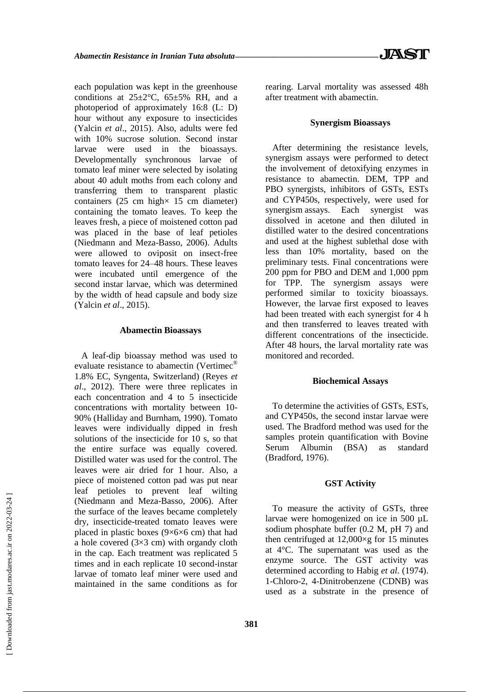each population was kept in the greenhouse conditions at  $25\pm2\degree$ C,  $65\pm5\%$  RH, and a photoperiod of approximately 16:8 (L: D) hour without any exposure to insecticides (Yalcin *et al*., 2015). Also, adults were fed with 10% sucrose solution. Second instar larvae were used in the bioassays. Developmentally synchronous larvae of tomato leaf miner were selected by isolating about 40 adult moths from each colony and transferring them to transparent plastic containers  $(25 \text{ cm high} \times 15 \text{ cm diameter})$ containing the tomato leaves. To keep the leaves fresh, a piece of moistened cotton pad was placed in the base of leaf petioles (Niedmann and Meza-Basso, 2006). Adults were allowed to oviposit on insect-free tomato leaves for 24–48 hours. These leaves were incubated until emergence of the second instar larvae, which was determined by the width of head capsule and body size (Yalcin *et al*., 2015).

# **Abamectin Bioassays**

A leaf-dip bioassay method was used to evaluate resistance to abamectin (Vertimec<sup>®</sup> 1.8% EC, Syngenta, Switzerland) (Reyes *et al*., 2012). There were three replicates in each concentration and 4 to 5 insecticide concentrations with mortality between 10- 90% (Halliday and Burnham, 1990). Tomato leaves were individually dipped in fresh solutions of the insecticide for 10 s, so that the entire surface was equally covered. Distilled water was used for the control. The leaves were air dried for 1 hour. Also, a piece of moistened cotton pad was put near leaf petioles to prevent leaf wilting (Niedmann and Meza-Basso, 2006). After the surface of the leaves became completely dry, insecticide-treated tomato leaves were placed in plastic boxes (9×6×6 cm) that had a hole covered  $(3\times3$  cm) with organdy cloth in the cap. Each treatment was replicated 5 times and in each replicate 10 second-instar larvae of tomato leaf miner were used and maintained in the same conditions as for rearing. Larval mortality was assessed 48h after treatment with abamectin.

# **Synergism Bioassays**

After determining the resistance levels, synergism assays were performed to detect the involvement of detoxifying enzymes in resistance to abamectin. DEM, TPP and PBO synergists, inhibitors of GSTs, ESTs and CYP450s, respectively, were used for synergism assays. Each synergist was dissolved in acetone and then diluted in distilled water to the desired concentrations and used at the highest sublethal dose with less than 10% mortality, based on the preliminary tests. Final concentrations were 200 ppm for PBO and DEM and 1,000 ppm for TPP. The synergism assays were performed similar to toxicity bioassays. However, the larvae first exposed to leaves had been treated with each synergist for 4 h and then transferred to leaves treated with different concentrations of the insecticide. After 48 hours, the larval mortality rate was monitored and recorded.

# **Biochemical Assays**

To determine the activities of GSTs, ESTs, and CYP450s, the second instar larvae were used. The Bradford method was used for the samples protein quantification with Bovine Serum Albumin (BSA) as standard (Bradford, 1976).

#### **GST Activity**

To measure the activity of GSTs, three larvae were homogenized on ice in 500 µL sodium phosphate buffer (0.2 M, pH 7) and then centrifuged at  $12,000 \times g$  for 15 minutes at 4°C. The supernatant was used as the enzyme source. The GST activity was determined according to Habig *et al*. (1974). 1-Chloro-2, 4-Dinitrobenzene (CDNB) was used as a substrate in the presence of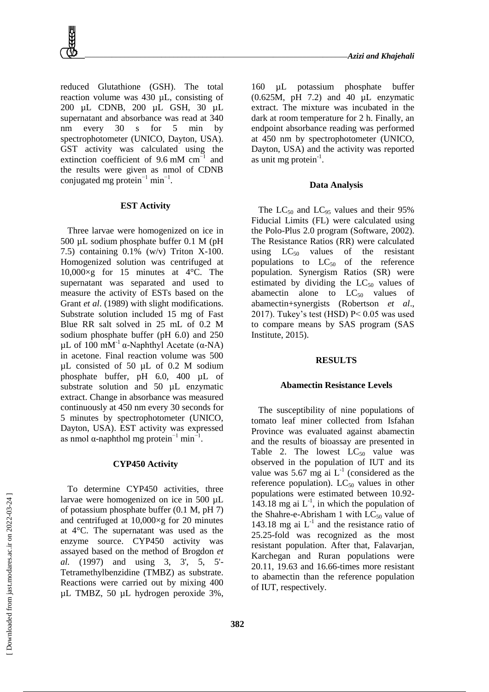reduced Glutathione (GSH). The total reaction volume was 430 µL, consisting of 200 µL CDNB, 200 µL GSH, 30 µL supernatant and absorbance was read at 340 nm every 30 s for 5 min by spectrophotometer (UNICO, Dayton, USA). GST activity was calculated using the extinction coefficient of 9.6 mM  $cm^{-1}$  and the results were given as nmol of CDNB conjugated mg protein<sup>-1</sup> min<sup>-1</sup>.

# **EST Activity**

Three larvae were homogenized on ice in 500 µL sodium phosphate buffer 0.1 M (pH 7.5) containing 0.1% (w/v) Triton X-100. Homogenized solution was centrifuged at  $10,000\times g$  for 15 minutes at 4 °C. The supernatant was separated and used to measure the activity of ESTs based on the Grant *et al*. (1989) with slight modifications. Substrate solution included 15 mg of Fast Blue RR salt solved in 25 mL of 0.2 M sodium phosphate buffer (pH 6.0) and 250 μL of 100 mM<sup>-1</sup> α-Naphthyl Acetate (α-NA) in acetone. Final reaction volume was 500 µL consisted of 50 µL of 0.2 M sodium phosphate buffer, pH 6.0, 400 µL of substrate solution and 50  $\mu$ L enzymatic extract. Change in absorbance was measured continuously at 450 nm every 30 seconds for 5 minutes by spectrophotometer (UNICO, Dayton, USA). EST activity was expressed as nmol  $\alpha$ -naphthol mg protein<sup>-1</sup> min<sup>-1</sup>.

## **CYP450 Activity**

To determine CYP450 activities, three larvae were homogenized on ice in 500 µL of potassium phosphate buffer (0.1 M, pH 7) and centrifuged at  $10,000 \times g$  for 20 minutes at 4°C. The supernatant was used as the enzyme source. CYP450 activity was assayed based on the method of Brogdon *et al.* (1997) and using 3, 3', 5, 5'- Tetramethylbenzidine (TMBZ) as substrate. Reactions were carried out by mixing 400 µL TMBZ, 50 µL hydrogen peroxide 3%,

160 µL potassium phosphate buffer (0.625M, pH 7.2) and 40 µL enzymatic extract. The mixture was incubated in the dark at room temperature for 2 h. Finally, an endpoint absorbance reading was performed at 450 nm by spectrophotometer (UNICO, Dayton, USA) and the activity was reported as unit mg protein $^{-1}$ .

# **Data Analysis**

The  $LC_{50}$  and  $LC_{95}$  values and their 95% Fiducial Limits (FL) were calculated using the Polo-Plus 2.0 program (Software, 2002). The Resistance Ratios (RR) were calculated using  $LC_{50}$  values of the resistant populations to  $LC_{50}$  of the reference population. Synergism Ratios (SR) were estimated by dividing the  $LC_{50}$  values of abamectin alone to  $LC_{50}$  values of abamectin+synergists (Robertson *et al*., 2017). Tukey's test (HSD) P< 0.05 was used to compare means by SAS program (SAS Institute, 2015).

#### **RESULTS**

#### **Abamectin Resistance Levels**

The susceptibility of nine populations of tomato leaf miner collected from Isfahan Province was evaluated against abamectin and the results of bioassay are presented in Table 2. The lowest  $LC_{50}$  value was observed in the population of IUT and its value was 5.67 mg ai  $L^{-1}$  (considered as the reference population).  $LC_{50}$  values in other populations were estimated between 10.92- 143.18 mg ai  $L^{-1}$ , in which the population of the Shahre-e-Abrisham 1 with  $LC_{50}$  value of 143.18 mg ai  $L^{-1}$  and the resistance ratio of 25.25-fold was recognized as the most resistant population. After that, Falavarjan, Karchegan and Ruran populations were 20.11, 19.63 and 16.66-times more resistant to abamectin than the reference population of IUT, respectively.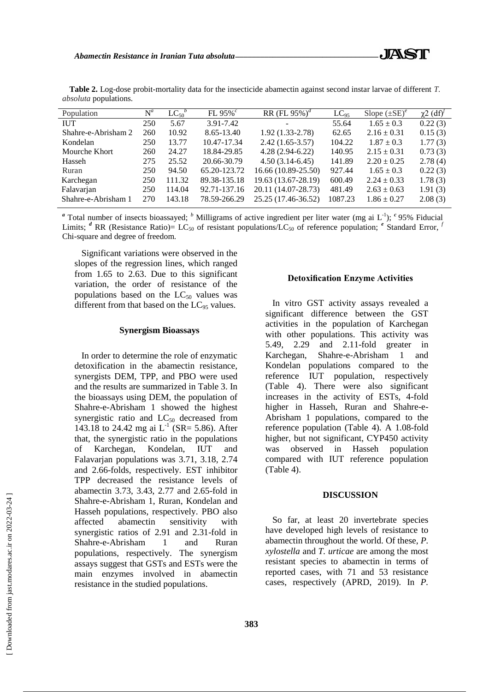| $\mathrm{N}^a$ | $LC_{50}^{\ b}$ | FL 95% $^c$  | RR (FL 95%) <sup>d</sup> | $LC_{95}$ | Slope $(\pm SE)^e$ | $\chi$ 2 (df) <sup><math>\prime</math></sup> |
|----------------|-----------------|--------------|--------------------------|-----------|--------------------|----------------------------------------------|
| 250            | 5.67            | 3.91-7.42    |                          | 55.64     | $1.65 \pm 0.3$     | 0.22(3)                                      |
| 260            | 10.92           | 8.65-13.40   | $1.92(1.33 - 2.78)$      | 62.65     | $2.16 \pm 0.31$    | 0.15(3)                                      |
| 250            | 13.77           | 10.47-17.34  | $2.42(1.65-3.57)$        | 104.22    | $1.87 \pm 0.3$     | 1.77(3)                                      |
| 260            | 24.27           | 18.84-29.85  | $4.28(2.94-6.22)$        | 140.95    | $2.15 \pm 0.31$    | 0.73(3)                                      |
| 275            | 25.52           | 20.66-30.79  | $4.50(3.14-6.45)$        | 141.89    | $2.20 \pm 0.25$    | 2.78(4)                                      |
| 250            | 94.50           | 65.20-123.72 | $16.66(10.89-25.50)$     | 927.44    | $1.65 \pm 0.3$     | 0.22(3)                                      |
| 250            | 111.32          | 89.38-135.18 | 19.63 (13.67-28.19)      | 600.49    | $2.24 \pm 0.33$    | 1.78(3)                                      |
| 250            | 114.04          | 92.71-137.16 | 20.11 (14.07-28.73)      | 481.49    | $2.63 \pm 0.63$    | 1.91(3)                                      |
| 270            | 143.18          | 78.59-266.29 | 25.25 (17.46-36.52)      | 1087.23   | $1.86 \pm 0.27$    | 2.08(3)                                      |
|                |                 |              |                          |           |                    |                                              |

**Table 2.** Log-dose probit-mortality data for the insecticide abamectin against second instar larvae of different *T. absoluta* populations.

<sup>*a*</sup> Total number of insects bioassayed; <sup>*b*</sup> Milligrams of active ingredient per liter water (mg ai L<sup>-1</sup>); <sup>*c*</sup> 95% Fiducial Limits; <sup>*d*</sup> RR (Resistance Ratio)= LC<sub>50</sub> of resistant populations/LC<sub>50</sub> of reference population; <sup>*e*</sup> Standard Error, <sup>*f*</sup> Chi-square and degree of freedom.

Significant variations were observed in the slopes of the regression lines, which ranged from 1.65 to 2.63. Due to this significant variation, the order of resistance of the populations based on the  $LC_{50}$  values was different from that based on the  $LC_{95}$  values.

# **Synergism Bioassays**

In order to determine the role of enzymatic detoxification in the abamectin resistance, synergists DEM, TPP, and PBO were used and the results are summarized in Table 3. In the bioassays using DEM, the population of Shahre-e-Abrisham 1 showed the highest synergistic ratio and  $LC_{50}$  decreased from 143.18 to 24.42 mg ai  $L^{-1}$  (SR= 5.86). After that, the synergistic ratio in the populations of Karchegan, Kondelan, IUT and Falavarjan populations was 3.71, 3.18, 2.74 and 2.66-folds, respectively. EST inhibitor TPP decreased the resistance levels of abamectin 3.73, 3.43, 2.77 and 2.65-fold in Shahre-e-Abrisham 1, Ruran, Kondelan and Hasseh populations, respectively. PBO also affected abamectin sensitivity with synergistic ratios of 2.91 and 2.31-fold in Shahre-e-Abrisham 1 and Ruran populations, respectively. The synergism assays suggest that GSTs and ESTs were the main enzymes involved in abamectin resistance in the studied populations.

### **Detoxification Enzyme Activities**

In vitro GST activity assays revealed a significant difference between the GST activities in the population of Karchegan with other populations. This activity was 5.49, 2.29 and 2.11-fold greater in Karchegan, Shahre-e-Abrisham 1 and Kondelan populations compared to the reference IUT population, respectively (Table 4). There were also significant increases in the activity of ESTs, 4-fold higher in Hasseh, Ruran and Shahre-e-Abrisham 1 populations, compared to the reference population (Table 4). A 1.08-fold higher, but not significant, CYP450 activity was observed in Hasseh population compared with IUT reference population (Table 4).

#### **DISCUSSION**

So far, at least 20 invertebrate species have developed high levels of resistance to abamectin throughout the world. Of these, *P. xylostella* and *T. urticae* are among the most resistant species to abamectin in terms of reported cases, with 71 and 53 resistance cases, respectively (APRD, 2019). In *P.*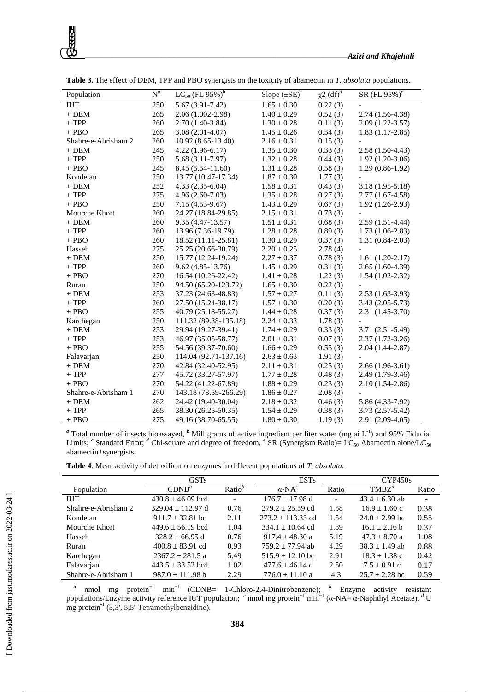| Population          | $\overline{N}^a$ | $LC_{50}$ (FL $95\%$ ) <sup>b</sup> | Slope $(\pm SE)^c$ | $\chi^2$ (df) <sup>d</sup> | SR (FL 95%) <sup>e</sup> |
|---------------------|------------------|-------------------------------------|--------------------|----------------------------|--------------------------|
| <b>IUT</b>          | 250              | $5.67(3.91 - 7.42)$                 | $1.65 \pm 0.30$    | 0.22(3)                    |                          |
| $+$ DEM             | 265              | 2.06 (1.002-2.98)                   | $1.40 \pm 0.29$    | 0.52(3)                    | $2.74(1.56-4.38)$        |
| $+ TPP$             | 260              | $2.70(1.40-3.84)$                   | $1.30 \pm 0.28$    | 0.11(3)                    | $2.09(1.22-3.57)$        |
| $+$ PBO             | 265              | $3.08(2.01-4.07)$                   | $1.45 \pm 0.26$    | 0.54(3)                    | $1.83(1.17-2.85)$        |
| Shahre-e-Abrisham 2 | 260              | $10.92(8.65-13.40)$                 | $2.16 \pm 0.31$    | 0.15(3)                    |                          |
| $+$ DEM             | 245              | $4.22(1.96-6.17)$                   | $1.35 \pm 0.30$    | 0.33(3)                    | $2.58(1.50-4.43)$        |
| $+ TPP$             | 250              | $5.68(3.11-7.97)$                   | $1.32 \pm 0.28$    | 0.44(3)                    | $1.92(1.20-3.06)$        |
| $+$ PBO             | 245              | 8.45 (5.54-11.60)                   | $1.31 \pm 0.28$    | 0.58(3)                    | $1.29(0.86-1.92)$        |
| Kondelan            | 250              | 13.77 (10.47-17.34)                 | $1.87 \pm 0.30$    | 1.77(3)                    |                          |
| $+$ DEM             | 252              | $4.33(2.35-6.04)$                   | $1.58 \pm 0.31$    | 0.43(3)                    | $3.18(1.95-5.18)$        |
| $\,+\,TPP$          | 275              | $4.96(2.60-7.03)$                   | $1.35 \pm 0.28$    | 0.27(3)                    | $2.77(1.67-4.58)$        |
| $+$ PBO             | 250              | $7.15(4.53-9.67)$                   | $1.43 \pm 0.29$    | 0.67(3)                    | $1.92(1.26-2.93)$        |
| Mourche Khort       | 260              | 24.27 (18.84-29.85)                 | $2.15 \pm 0.31$    | 0.73(3)                    |                          |
| $+$ DEM             | 260              | $9.35(4.47-13.57)$                  | $1.51 \pm 0.31$    | 0.68(3)                    | $2.59(1.51-4.44)$        |
| $\,+\,TPP$          | 260              | 13.96 (7.36-19.79)                  | $1.28 \pm 0.28$    | 0.89(3)                    | $1.73(1.06-2.83)$        |
| $+$ PBO             | 260              | 18.52 (11.11-25.81)                 | $1.30 \pm 0.29$    | 0.37(3)                    | $1.31(0.84-2.03)$        |
| Hasseh              | 275              | 25.25 (20.66-30.79)                 | $2.20 \pm 0.25$    | 2.78(4)                    |                          |
| $+$ DEM             | 250              | 15.77 (12.24-19.24)                 | $2.27 \pm 0.37$    | 0.78(3)                    | $1.61(1.20-2.17)$        |
| $+$ TPP             | 260              | $9.62(4.85-13.76)$                  | $1.45 \pm 0.29$    | 0.31(3)                    | $2.65(1.60-4.39)$        |
| $+$ PBO             | 270              | 16.54 (10.26-22.42)                 | $1.41 \pm 0.28$    | 1.22(3)                    | $1.54(1.02-2.32)$        |
| Ruran               | 250              | 94.50 (65.20-123.72)                | $1.65 \pm 0.30$    | 0.22(3)                    |                          |
| $+$ DEM             | 253              | 37.23 (24.63-48.83)                 | $1.57 \pm 0.27$    | 0.11(3)                    | $2.53(1.63-3.93)$        |
| $\,+\,TPP$          | 260              | 27.50 (15.24-38.17)                 | $1.57 \pm 0.30$    | 0.20(3)                    | $3.43(2.05-5.73)$        |
| $+$ PBO             | 255              | 40.79 (25.18-55.27)                 | $1.44 \pm 0.28$    | 0.37(3)                    | $2.31(1.45-3.70)$        |
| Karchegan           | 250              | 111.32 (89.38-135.18)               | $2.24 \pm 0.33$    | 1.78(3)                    |                          |
| $+$ DEM             | 253              | 29.94 (19.27-39.41)                 | $1.74 \pm 0.29$    | 0.33(3)                    | $3.71(2.51-5.49)$        |
| $+ TPP$             | 253              | 46.97 (35.05-58.77)                 | $2.01 \pm 0.31$    | 0.07(3)                    | $2.37(1.72-3.26)$        |
| $+$ PBO             | 255              | 54.56 (39.37-70.60)                 | $1.66 \pm 0.29$    | 0.55(3)                    | $2.04(1.44-2.87)$        |
| Falavarjan          | 250              | 114.04 (92.71-137.16)               | $2.63 \pm 0.63$    | 1.91(3)                    |                          |
| $+$ DEM             | 270              | 42.84 (32.40-52.95)                 | $2.11\pm0.31$      | 0.25(3)                    | $2.66(1.96-3.61)$        |
| $+$ TPP             | 277              | 45.72 (33.27-57.97)                 | $1.77 \pm 0.28$    | 0.48(3)                    | $2.49(1.79-3.46)$        |
| $+$ PBO             | 270              | 54.22 (41.22-67.89)                 | $1.88 \pm 0.29$    | 0.23(3)                    | $2.10(1.54-2.86)$        |
| Shahre-e-Abrisham 1 | 270              | 143.18 (78.59-266.29)               | $1.86 \pm 0.27$    | 2.08(3)                    |                          |
| $+$ DEM             | 262              | 24.42 (19.40-30.04)                 | $2.18 \pm 0.32$    | 0.46(3)                    | 5.86 (4.33-7.92)         |
| $\,+\,TPP$          | 265              | 38.30 (26.25-50.35)                 | $1.54 \pm 0.29$    | 0.38(3)                    | $3.73(2.57-5.42)$        |
| $+$ PBO             | 275              | 49.16 (38.70-65.55)                 | $1.80 \pm 0.30$    | 1.19(3)                    | $2.91(2.09-4.05)$        |

**Table 3.** The effect of DEM, TPP and PBO synergists on the toxicity of abamectin in *T. absoluta* populations.

<sup>a</sup> Total number of insects bioassayed, <sup>b</sup> Milligrams of active ingredient per liter water (mg ai L<sup>-1</sup>) and 95% Fiducial Limits; <sup>c</sup> Standard Error; <sup>d</sup> Chi-square and degree of freedom, <sup>e</sup> SR (Synergism Ratio)= LC<sub>50</sub> Abamectin alone/LC<sub>50</sub> abamectin+synergists.

| Table 4. Mean activity of detoxification enzymes in different populations of T. absoluta. |  |  |  |  |
|-------------------------------------------------------------------------------------------|--|--|--|--|
|                                                                                           |  |  |  |  |

|                     | <b>GSTs</b>           |                    | <b>ESTs</b>             |                          | CYP450s            |                |
|---------------------|-----------------------|--------------------|-------------------------|--------------------------|--------------------|----------------|
| Population          | $CDNB^a$              | Ratio <sup>b</sup> | $\alpha$ -NA $^{\circ}$ | Ratio                    | $TMBZ^d$           | Ratio          |
| <b>IUT</b>          | $430.8 \pm 46.09$ bcd | ۰                  | $176.7 \pm 17.98$ d     | $\overline{\phantom{a}}$ | $43.4 \pm 6.30$ ab | $\blacksquare$ |
| Shahre-e-Abrisham 2 | $329.04 + 112.97$ d   | 0.76               | $279.2 \pm 25.59$ cd    | 1.58                     | $16.9 \pm 1.60$ c  | 0.38           |
| Kondelan            | $911.7 \pm 32.81$ bc  | 2.11               | $273.2 \pm 113.33$ cd   | 1.54                     | $24.0 \pm 2.99$ bc | 0.55           |
| Mourche Khort       | $449.6 \pm 56.19$ bcd | 1.04               | $334.1 \pm 10.64$ cd    | 1.89                     | $16.1 \pm 2.16$ b  | 0.37           |
| Hasseh              | $328.2 \pm 66.95$ d   | 0.76               | $917.4 + 48.30 a$       | 5.19                     | $47.3 \pm 8.70$ a  | 1.08           |
| Ruran               | $400.8 \pm 83.91$ cd  | 0.93               | $759.2 \pm 77.94$ ab    | 4.29                     | $38.3 \pm 1.49$ ab | 0.88           |
| Karchegan           | $2367.2 \pm 281.5$ a  | 5.49               | $515.9 + 12.10$ bc      | 2.91                     | $18.3 \pm 1.38$ c  | 0.42           |
| Falavarjan          | $443.5 \pm 33.52$ bcd | 1.02               | $477.6 \pm 46.14$ c     | 2.50                     | $7.5 \pm 0.91$ c   | 0.17           |
| Shahre-e-Abrisham 1 | $987.0 \pm 111.98 b$  | 2.29               | $776.0 \pm 11.10$ a     | 4.3                      | $25.7 \pm 2.28$ bc | 0.59           |

<sup>a</sup> nmol mg protein<sup>-1</sup> min<sup>-1</sup> (CDNB= 1-Chloro-2,4-Dinitrobenzene); <sup>*b*</sup> Enzyme activity resistant populations/Enzyme activity reference IUT population; <sup>*c*</sup> nmol mg protein<sup>-1</sup> min<sup>-1</sup> (α-NA= α-Naphthyl Acetate), <sup>*d*</sup> U  $mg$  protein<sup>-1</sup> (3,3', 5,5'-Tetramethylbenzidine).

 [\[ Downloaded from jast.modares.ac.ir on 2](https://jast.modares.ac.ir/article-23-43093-en.html)022-03-24 ] [Downloaded from jast.modares.ac.ir on 2022-03-24]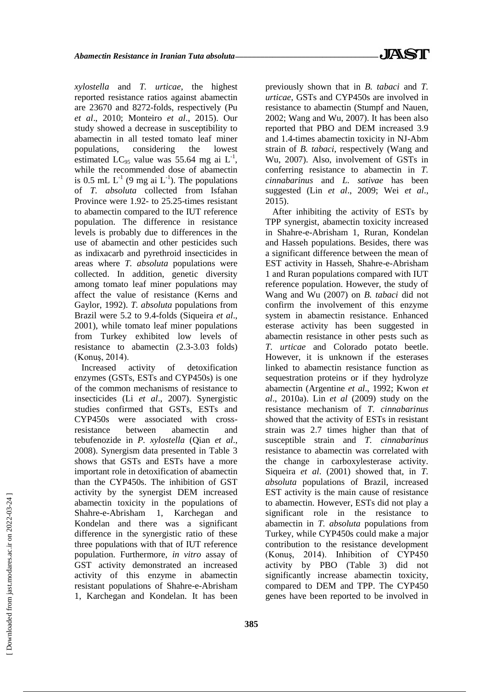*xylostella* and *T. urticae*, the highest reported resistance ratios against abamectin are 23670 and 8272-folds, respectively (Pu *et al*., 2010; Monteiro *et al*., 2015). Our study showed a decrease in susceptibility to abamectin in all tested tomato leaf miner populations, considering the lowest estimated LC<sub>95</sub> value was 55.64 mg ai  $L^{-1}$ , while the recommended dose of abamectin is 0.5 mL  $L^{-1}$  (9 mg ai  $L^{-1}$ ). The populations of *T. absoluta* collected from Isfahan Province were 1.92- to 25.25-times resistant to abamectin compared to the IUT reference population. The difference in resistance levels is probably due to differences in the use of abamectin and other pesticides such as indixacarb and pyrethroid insecticides in areas where *T. absoluta* populations were collected. In addition, genetic diversity among tomato leaf miner populations may affect the value of resistance (Kerns and Gaylor, 1992). *T. absoluta* populations from Brazil were 5.2 to 9.4-folds (Siqueira *et al*., 2001), while tomato leaf miner populations from Turkey exhibited low levels of resistance to abamectin (2.3-3.03 folds) (Konuş, 2014).

Increased activity of detoxification enzymes (GSTs, ESTs and CYP450s) is one of the common mechanisms of resistance to insecticides (Li *et al*., 2007). Synergistic studies confirmed that GSTs, ESTs and CYP450s were associated with crossresistance between abamectin and tebufenozide in *P. xylostella* (Qian *et al*., 2008). Synergism data presented in Table 3 shows that GSTs and ESTs have a more important role in detoxification of abamectin than the CYP450s. The inhibition of GST activity by the synergist DEM increased abamectin toxicity in the populations of Shahre-e-Abrisham 1, Karchegan and Kondelan and there was a significant difference in the synergistic ratio of these three populations with that of IUT reference population. Furthermore, *in vitro* assay of GST activity demonstrated an increased activity of this enzyme in abamectin resistant populations of Shahre-e-Abrisham 1, Karchegan and Kondelan. It has been previously shown that in *B. tabaci* and *T. urticae*, GSTs and CYP450s are involved in resistance to abamectin (Stumpf and Nauen, 2002; Wang and Wu, 2007). It has been also reported that PBO and DEM increased 3.9 and 1.4-times abamectin toxicity in NJ-Abm strain of *B. tabaci*, respectively (Wang and Wu, 2007). Also, involvement of GSTs in conferring resistance to abamectin in *T. cinnabarinus* and *L. sativae* has been suggested (Lin *et al*., 2009; Wei *et al*., 2015).

After inhibiting the activity of ESTs by TPP synergist, abamectin toxicity increased in Shahre-e-Abrisham 1, Ruran, Kondelan and Hasseh populations. Besides, there was a significant difference between the mean of EST activity in Hasseh, Shahre-e-Abrisham 1 and Ruran populations compared with IUT reference population. However, the study of Wang and Wu (2007) on *B. tabaci* did not confirm the involvement of this enzyme system in abamectin resistance. Enhanced esterase activity has been suggested in abamectin resistance in other pests such as *T. urticae* and Colorado potato beetle. However, it is unknown if the esterases linked to abamectin resistance function as sequestration proteins or if they hydrolyze abamectin (Argentine *et al*., 1992; Kwon *et al*., 2010a). Lin *et al* (2009) study on the resistance mechanism of *T. cinnabarinus* showed that the activity of ESTs in resistant strain was 2.7 times higher than that of susceptible strain and *T. cinnabarinus* resistance to abamectin was correlated with the change in carboxylesterase activity. Siqueira *et al*. (2001) showed that, in *T. absoluta* populations of Brazil, increased EST activity is the main cause of resistance to abamectin. However, ESTs did not play a significant role in the resistance to abamectin in *T. absoluta* populations from Turkey, while CYP450s could make a major contribution to the resistance development (Konuş, 2014). Inhibition of CYP450 activity by PBO (Table 3) did not significantly increase abamectin toxicity, compared to DEM and TPP. The CYP450 genes have been reported to be involved in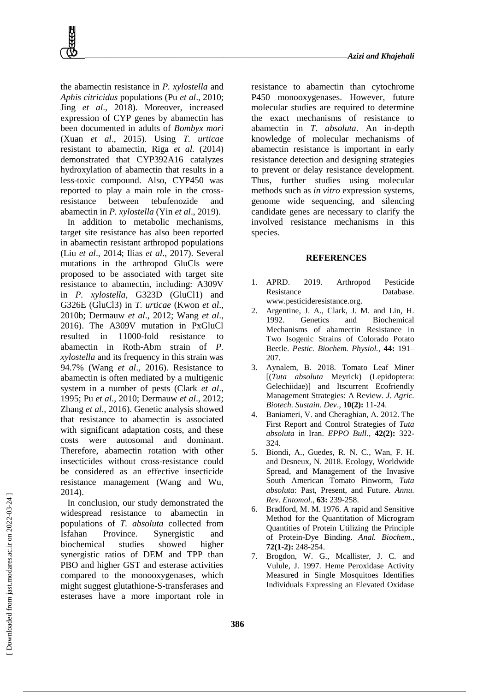the abamectin resistance in *P. xylostella* and *Aphis citricidus* populations (Pu *et al*., 2010; Jing *et al*., 2018). Moreover, increased expression of CYP genes by abamectin has been documented in adults of *Bombyx mori* (Xuan *et al*., 2015). Using *T. urticae* resistant to abamectin, Riga *et al.* (2014) demonstrated that CYP392A16 catalyzes hydroxylation of abamectin that results in a less-toxic compound. Also, CYP450 was reported to play a main role in the crossresistance between tebufenozide and abamectin in *P. xylostella* (Yin *et al*., 2019).

In addition to metabolic mechanisms, target site resistance has also been reported in abamectin resistant arthropod populations (Liu *et al*., 2014; Ilias *et al*., 2017). Several mutations in the arthropod GluCls were proposed to be associated with target site resistance to abamectin, including: A309V in *P. xylostella*, G323D (GluCl1) and G326E (GluCl3) in *T. urticae* (Kwon *et al*., 2010b; Dermauw *et al*., 2012; Wang *et al*., 2016). The A309V mutation in PxGluCl resulted in 11000-fold resistance to abamectin in Roth-Abm strain of *P. xylostella* and its frequency in this strain was 94.7% (Wang *et al*., 2016). Resistance to abamectin is often mediated by a multigenic system in a number of pests (Clark *et al*., 1995; Pu *et al*., 2010; Dermauw *et al*., 2012; Zhang *et al*., 2016). Genetic analysis showed that resistance to abamectin is associated with significant adaptation costs, and these costs were autosomal and dominant. Therefore, abamectin rotation with other insecticides without cross-resistance could be considered as an effective insecticide resistance management (Wang and Wu, 2014).

In conclusion, our study demonstrated the widespread resistance to abamectin in populations of *T. absoluta* collected from Isfahan Province. Synergistic and biochemical studies showed higher synergistic ratios of DEM and TPP than PBO and higher GST and esterase activities compared to the monooxygenases, which might suggest glutathione-S-transferases and esterases have a more important role in

resistance to abamectin than cytochrome P450 monooxygenases. However, future molecular studies are required to determine the exact mechanisms of resistance to abamectin in *T. absoluta*. An in-depth knowledge of molecular mechanisms of abamectin resistance is important in early resistance detection and designing strategies to prevent or delay resistance development. Thus, further studies using molecular methods such as *in vitro* expression systems, genome wide sequencing, and silencing candidate genes are necessary to clarify the involved resistance mechanisms in this species.

#### **REFERENCES**

- 1. APRD. 2019. Arthropod Pesticide Resistance Database. www.pesticideresistance.org.
- 2. Argentine, J. A., Clark, J. M. and Lin, H. 1992. Genetics and Biochemical Mechanisms of abamectin Resistance in Two Isogenic Strains of Colorado Potato Beetle. *Pestic. Biochem. Physiol.,* **44:** 191– 207.
- 3. Aynalem, B. 2018. Tomato Leaf Miner [(*Tuta absoluta* Meyrick) (Lepidoptera: Gelechiidae)] and Itscurrent Ecofriendly Management Strategies: A Review. *J. Agric. Biotech. Sustain. Dev*., **10(2):** 11-24.
- 4. Baniameri, V. and Cheraghian, A. 2012. The First Report and Control Strategies of *Tuta absoluta* in Iran. *EPPO Bull*., **42(2):** 322- 324.
- 5. Biondi, A., Guedes, R. N. C., Wan, F. H. and Desneux, N. 2018. Ecology, Worldwide Spread, and Management of the Invasive South American Tomato Pinworm, *Tuta absoluta*: Past, Present, and Future. *Annu. Rev. Entomol*., **63:** 239-258.
- 6. Bradford, M. M. 1976. A rapid and Sensitive Method for the Quantitation of Microgram Quantities of Protein Utilizing the Principle of Protein-Dye Binding. *Anal. Biochem*., **72(1-2):** 248-254.
- 7. Brogdon, W. G., Mcallister, J. C. and Vulule, J. 1997. Heme Peroxidase Activity Measured in Single Mosquitoes Identifies Individuals Expressing an Elevated Oxidase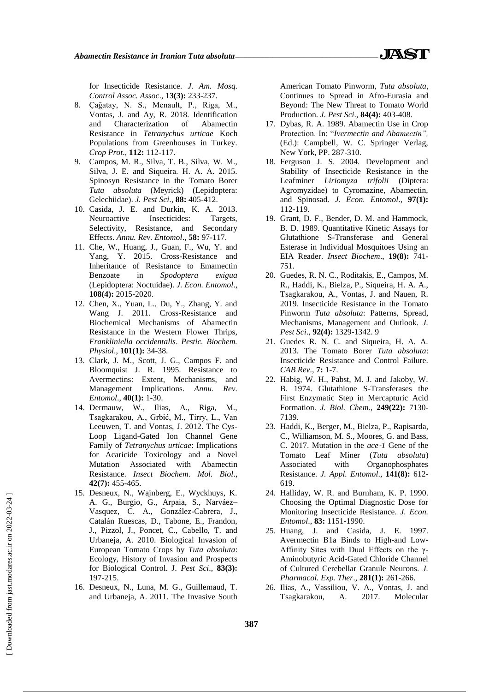for Insecticide Resistance. *J. Am. Mosq. Control Assoc. Assoc*., **13(3):** 233-237.

- 8. Çağatay, N. S., Menault, P., Riga, M., Vontas, J. and Ay, R. 2018. Identification and Characterization of Abamectin Resistance in *Tetranychus urticae* Koch Populations from Greenhouses in Turkey. *Crop Prot*., **112:** 112-117.
- 9. Campos, M. R., Silva, T. B., Silva, W. M., Silva, J. E. and Siqueira. H. A. A. 2015. Spinosyn Resistance in the Tomato Borer *Tuta absoluta* (Meyrick) (Lepidoptera: Gelechiidae). *J. Pest Sci*., **88:** 405-412.
- 10. Casida, J. E. and Durkin, K. A. 2013. Neuroactive Insecticides: Targets, Selectivity, Resistance, and Secondary Effects. *Annu. Rev. Entomol*., **58:** 97-117.
- 11. Che, W., Huang, J., Guan, F., Wu, Y. and Yang, Y. 2015. Cross-Resistance and Inheritance of Resistance to Emamectin Benzoate in *Spodoptera exigua* (Lepidoptera: Noctuidae). *J. Econ. Entomol*., **108(4):** 2015-2020.
- 12. Chen, X., Yuan, L., Du, Y., Zhang, Y. and Wang J. 2011. Cross-Resistance and Biochemical Mechanisms of Abamectin Resistance in the Western Flower Thrips, *Frankliniella occidentalis*. *Pestic. Biochem. Physiol*., **101(1):** 34-38.
- 13. Clark, J. M., Scott, J. G., Campos F. and Bloomquist J. R. 1995. Resistance to Avermectins: Extent, Mechanisms, and Management Implications. *Annu. Rev. Entomol*., **40(1):** 1-30.
- 14. Dermauw, W., Ilias, A., Riga, M., Tsagkarakou, A., Grbić, M., Tirry, L., Van Leeuwen, T. and Vontas, J. 2012. The Cys-Loop Ligand-Gated Ion Channel Gene Family of *Tetranychus urticae*: Implications for Acaricide Toxicology and a Novel Mutation Associated with Abamectin Resistance. *Insect Biochem. Mol. Biol*., **42(7):** 455-465.
- 15. Desneux, N., Wajnberg, E., Wyckhuys, K. A. G., Burgio, G., Arpaia, S., Narváez– Vasquez, C. A., González-Cabrera, J., Catalán Ruescas, D., Tabone, E., Frandon, J., Pizzol, J., Poncet, C., Cabello, T. and Urbaneja, A. 2010. Biological Invasion of European Tomato Crops by *Tuta absoluta*: Ecology, History of Invasion and Prospects for Biological Control. J*. Pest Sci*., **83(3):**  197-215.
- 16. Desneux, N., Luna, M. G., Guillemaud, T. and Urbaneja, A. 2011. The Invasive South

American Tomato Pinworm, *Tuta absoluta*, Continues to Spread in Afro-Eurasia and Beyond: The New Threat to Tomato World Production. *J. Pest Sci*., **84(4):** 403-408.

- 17. Dybas, R. A. 1989. Abamectin Use in Crop Protection. In: "*Ivermectin and Abamectin",* (Ed.): Campbell, W. C. Springer Verlag, New York, PP. 287-310.
- 18. Ferguson J. S. 2004. Development and Stability of Insecticide Resistance in the Leafminer *Liriomyza trifolii* (Diptera: Agromyzidae) to Cyromazine, Abamectin, and Spinosad. *J. Econ. Entomol*., **97(1):** 112-119.
- 19. Grant, D. F., Bender, D. M. and Hammock, B. D. 1989. Quantitative Kinetic Assays for Glutathione S-Transferase and General Esterase in Individual Mosquitoes Using an EIA Reader. *Insect Biochem*., **19(8):** 741- 751.
- 20. Guedes, R. N. C., Roditakis, E., Campos, M. R., Haddi, K., Bielza, P., Siqueira, H. A. A., Tsagkarakou, A., Vontas, J. and Nauen, R. 2019. Insecticide Resistance in the Tomato Pinworm *Tuta absoluta*: Patterns, Spread, Mechanisms, Management and Outlook. *J. Pest Sci*., **92(4):** 1329-1342. 9
- 21. Guedes R. N. C. and Siqueira, H. A. A. 2013. The Tomato Borer *Tuta absoluta*: Insecticide Resistance and Control Failure. *CAB Rev*., **7:** 1-7.
- 22. Habig, W. H., Pabst, M. J. and Jakoby, W. B. 1974. Glutathione S-Transferases the First Enzymatic Step in Mercapturic Acid Formation. *J. Biol. Chem*., **249(22):** 7130- 7139.
- 23. Haddi, K., Berger, M., Bielza, P., Rapisarda, C., Williamson, M. S., Moores, G. and Bass, C. 2017. Mutation in the *ace*‐*1* Gene of the Tomato Leaf Miner (*Tuta absoluta*) Associated with Organophosphates Resistance. *J. Appl. Entomol*., **141(8):** 612- 619.
- 24. Halliday, W. R. and Burnham, K. P. 1990. Choosing the Optimal Diagnostic Dose for Monitoring Insecticide Resistance. *J. Econ. Entomol*., **83:** 1151-1990.
- 25. Huang, J. and Casida, J. E. 1997. Avermectin B1a Binds to High-and Low-Affinity Sites with Dual Effects on the γ-Aminobutyric Acid-Gated Chloride Channel of Cultured Cerebellar Granule Neurons. *J. Pharmacol. Exp. Ther*., **281(1):** 261-266.
- 26. Ilias, A., Vassiliou, V. A., Vontas, J. and Tsagkarakou, A. 2017. Molecular

 [\[ Downloaded from jast.modares.ac.ir on 2](https://jast.modares.ac.ir/article-23-43093-en.html)022-03-24 ] Downloaded from jast.modares.ac.ir on 2022-03-24]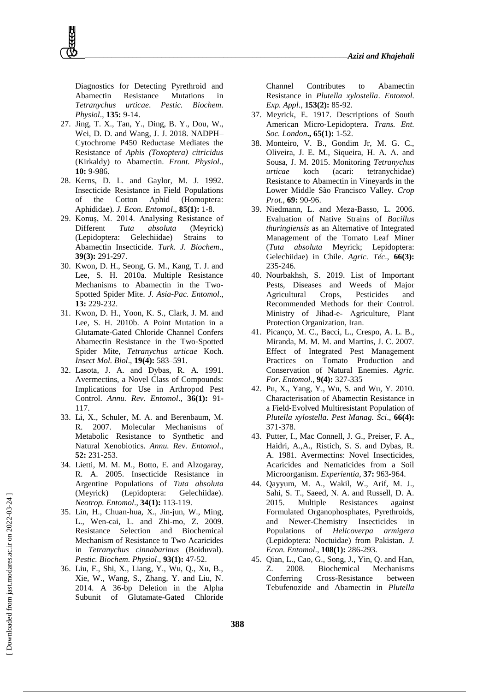Diagnostics for Detecting Pyrethroid and Abamectin Resistance Mutations in *Tetranychus urticae*. *Pestic. Biochem. Physiol*., **135:** 9-14.

- 27. Jing, T. X., Tan, Y., Ding, B. Y., Dou, W., Wei, D. D. and Wang, J. J. 2018. NADPH– Cytochrome P450 Reductase Mediates the Resistance of *Aphis (Toxoptera) citricidus*  (Kirkaldy) to Abamectin. *Front. Physiol*., **10:** 9-986.
- 28. Kerns, D. L. and Gaylor, M. J. 1992. Insecticide Resistance in Field Populations of the Cotton Aphid (Homoptera: Aphididae). *J. Econ. Entomol*., **85(1):** 1-8.
- 29. Konuş, M. 2014. Analysing Resistance of Different *Tuta absoluta* (Meyrick) (Lepidoptera: Gelechiidae) Strains to Abamectin Insecticide. *Turk. J. Biochem*., **39(3):** 291-297.
- 30. Kwon, D. H., Seong, G. M., Kang, T. J. and Lee, S. H. 2010a. Multiple Resistance Mechanisms to Abamectin in the Two-Spotted Spider Mite. *J. Asia-Pac. Entomol*., **13:** 229-232.
- 31. Kwon, D. H., Yoon, K. S., Clark, J. M. and Lee, S. H. 2010b. A Point Mutation in a Glutamate‐Gated Chloride Channel Confers Abamectin Resistance in the Two‐Spotted Spider Mite, *Tetranychus urticae* Koch. *Insect Mol. Biol*., **19(4):** 583–591.
- 32. Lasota, J. A. and Dybas, R. A. 1991. Avermectins, a Novel Class of Compounds: Implications for Use in Arthropod Pest Control. *Annu. Rev. Entomol*., **36(1):** 91- 117.
- 33. Li, X., Schuler, M. A. and Berenbaum, M. R. 2007. Molecular Mechanisms of Metabolic Resistance to Synthetic and Natural Xenobiotics. *Annu. Rev. Entomol*., **52:** 231-253.
- 34. Lietti, M. M. M., Botto, E. and Alzogaray, R. A. 2005. Insecticide Resistance in Argentine Populations of *Tuta absoluta* (Meyrick) (Lepidoptera: Gelechiidae). *Neotrop. Entomol*., **34(1):** 113-119.
- 35. Lin, H., Chuan-hua, X., Jin-jun, W., Ming, L., Wen-cai, L. and Zhi-mo, Z. 2009. Resistance Selection and Biochemical Mechanism of Resistance to Two Acaricides in *Tetranychus cinnabarinus* (Boiduval). *Pestic. Biochem. Physiol*., **93(1):** 47-52.
- 36. Liu, F., Shi, X., Liang, Y., Wu, Q., Xu, B., Xie, W., Wang, S., Zhang, Y. and Liu, N. 2014. A 36‐bp Deletion in the Alpha Subunit of Glutamate-Gated Chloride

Channel Contributes to Abamectin Resistance in *Plutella xylostella*. *Entomol. Exp. Appl*., **153(2):** 85-92.

- 37. Meyrick, E. 1917. Descriptions of South American Micro‐Lepidoptera. *Trans. Ent. Soc. London***., 65(1):** 1-52.
- 38. Monteiro, V. B., Gondim Jr, M. G. C., Oliveira, J. E. M., Siqueira, H. A. A. and Sousa, J. M. 2015. Monitoring *Tetranychus urticae* koch (acari: tetranychidae) Resistance to Abamectin in Vineyards in the Lower Middle São Francisco Valley. *Crop Prot*., **69:** 90-96.
- 39. Niedmann, L. and Meza-Basso, L. 2006. Evaluation of Native Strains of *Bacillus thuringiensis* as an Alternative of Integrated Management of the Tomato Leaf Miner (*Tuta absoluta* Meyrick; Lepidoptera: Gelechiidae) in Chile. *Agric. Téc*., **66(3):** 235-246.
- 40. Nourbakhsh, S. 2019. List of Important Pests, Diseases and Weeds of Major Agricultural Crops, Pesticides and Recommended Methods for their Control. Ministry of Jihad-e- Agriculture, Plant Protection Organization, Iran.
- 41. Picanço, M. C., Bacci, L., Crespo, A. L. B., Miranda, M. M. M. and Martins, J. C. 2007. Effect of Integrated Pest Management Practices on Tomato Production and Conservation of Natural Enemies. *Agric. For. Entomol*., **9(4):** 327-335
- 42. Pu, X., Yang, Y., Wu, S. and Wu, Y. 2010. Characterisation of Abamectin Resistance in a Field‐Evolved Multiresistant Population of *Plutella xylostella*. *Pest Manag. Sci*., **66(4):** 371-378.
- 43. Putter, I., Mac Connell, J. G., Preiser, F. A., Haidri, A.,A., Ristich, S. S. and Dybas, R. A. 1981. Avermectins: Novel Insecticides, Acaricides and Nematicides from a Soil Microorganism. *Experientia,* **37:** 963-964.
- 44. Qayyum, M. A., Wakil, W., Arif, M. J., Sahi, S. T., Saeed, N. A. and Russell, D. A. 2015. Multiple Resistances against Formulated Organophosphates, Pyrethroids, and Newer-Chemistry Insecticides in Populations of *Helicoverpa armigera* (Lepidoptera: Noctuidae) from Pakistan. *J. Econ. Entomol*., **108(1):** 286-293.
- 45. Qian, L., Cao, G., Song, J., Yin, Q. and Han, Z. 2008. Biochemical Mechanisms Conferring Cross-Resistance between Tebufenozide and Abamectin in *Plutella*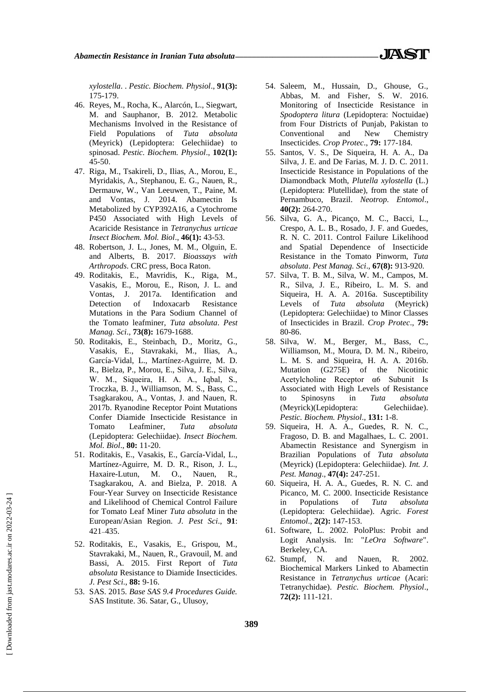*xylostella*. . *Pestic. Biochem. Physiol*., **91(3):** 175-179.

- 46. Reyes, M., Rocha, K., Alarcón, L., Siegwart, M. and Sauphanor, B. 2012. Metabolic Mechanisms Involved in the Resistance of Field Populations of *Tuta absoluta* (Meyrick) (Lepidoptera: Gelechiidae) to spinosad. *Pestic. Biochem. Physiol*., **102(1):** 45-50.
- 47. Riga, M., Tsakireli, D., Ilias, A., Morou, E., Myridakis, A., Stephanou, E. G., Nauen, R., Dermauw, W., Van Leeuwen, T., Paine, M. and Vontas, J. 2014. Abamectin Is Metabolized by CYP392A16, a Cytochrome P450 Associated with High Levels of Acaricide Resistance in *Tetranychus urticae Insect Biochem. Mol. Biol*., **46(1):** 43-53.
- 48. Robertson, J. L., Jones, M. M., Olguin, E. and Alberts, B. 2017. *Bioassays with Arthropods*. CRC press, Boca Raton.
- 49. Roditakis, E., Mavridis, K., Riga, M., Vasakis, E., Morou, E., Rison, J. L. and Vontas, J. 2017a. Identification and Detection of Indoxacarb Resistance Mutations in the Para Sodium Channel of the Tomato leafminer, *Tuta absoluta*. *Pest Manag. Sci*., **73(8):** 1679-1688.
- 50. Roditakis, E., Steinbach, D., Moritz, G., Vasakis, E., Stavrakaki, M., Ilias, A., García-Vidal, L., Martínez-Aguirre, M. D. R., Bielza, P., Morou, E., Silva, J. E., Silva, W. M., Siqueira, H. A. A., Iqbal, S., Troczka, B. J., Williamson, M. S., Bass, C., Tsagkarakou, A., Vontas, J. and Nauen, R. 2017b. Ryanodine Receptor Point Mutations Confer Diamide Insecticide Resistance in Tomato Leafminer, *Tuta absoluta* (Lepidoptera: Gelechiidae). *Insect Biochem. Mol. Biol*., **80:** 11-20.
- 51. Roditakis, E., Vasakis, E., García-Vidal, L., Martínez-Aguirre, M. D. R., Rison, J. L., Haxaire-Lutun, M. O., Nauen, R., Tsagkarakou, A. and Bielza, P. 2018. A Four-Year Survey on Insecticide Resistance and Likelihood of Chemical Control Failure for Tomato Leaf Miner *Tuta absoluta* in the European/Asian Region. *J. Pest Sci*., **91**: 421 435.
- 52. Roditakis, E., Vasakis, E., Grispou, M., Stavrakaki, M., Nauen, R., Gravouil, M. and Bassi, A. 2015. First Report of *Tuta absoluta* Resistance to Diamide Insecticides. *J. Pest Sci*., **88:** 9-16.
- 53. SAS. 2015. *Base SAS 9.4 Procedures Guide.*  SAS Institute. 36. Satar, G., Ulusoy,
- 54. Saleem, M., Hussain, D., Ghouse, G., Abbas, M. and Fisher, S. W. 2016. Monitoring of Insecticide Resistance in *Spodoptera litura* (Lepidoptera: Noctuidae) from Four Districts of Punjab, Pakistan to Conventional and New Chemistry Insecticides. *Crop Protec*., **79:** 177-184.
- 55. Santos, V. S., De Siqueira, H. A. A., Da Silva, J. E. and De Farias, M. J. D. C. 2011. Insecticide Resistance in Populations of the Diamondback Moth, *Plutella xylostella* (L.) (Lepidoptera: Plutellidae), from the state of Pernambuco, Brazil. *Neotrop. Entomol*., **40(2):** 264-270.
- 56. Silva, G. A., Picanço, M. C., Bacci, L., Crespo, A. L. B., Rosado, J. F. and Guedes, R. N. C. 2011. Control Failure Likelihood and Spatial Dependence of Insecticide Resistance in the Tomato Pinworm, *Tuta absoluta*. *Pest Manag. Sci*., **67(8):** 913-920.
- 57. Silva, T. B. M., Silva, W. M., Campos, M. R., Silva, J. E., Ribeiro, L. M. S. and Siqueira, H. A. A. 2016a. Susceptibility Levels of *Tuta absoluta* (Meyrick) (Lepidoptera: Gelechiidae) to Minor Classes of Insecticides in Brazil. *Crop Protec*., **79:** 80-86.
- 58. Silva, W. M., Berger, M., Bass, C., Williamson, M., Moura, D. M. N., Ribeiro, L. M. S. and Siqueira, H. A. A. 2016b. Mutation (G275E) of the Nicotinic Acetylcholine Receptor α6 Subunit Is Associated with High Levels of Resistance to Spinosyns in *Tuta absoluta* (Meyrick)(Lepidoptera: Gelechiidae). *Pestic. Biochem. Physiol*., **131:** 1-8.
- 59. Siqueira, H. A. A., Guedes, R. N. C., Fragoso, D. B. and Magalhaes, L. C. 2001. Abamectin Resistance and Synergism in Brazilian Populations of *Tuta absoluta* (Meyrick) (Lepidoptera: Gelechiidae). *Int. J. Pest. Manag*., **47(4):** 247-251.
- 60. Siqueira, H. A. A., Guedes, R. N. C. and Picanco, M. C. 2000. Insecticide Resistance in Populations of *Tuta absoluta* (Lepidoptera: Gelechiidae). Agric. *Forest Entomol*., **2(2):** 147-153.
- 61. Software, L. 2002. PoloPlus: Probit and Logit Analysis. In: "*LeOra Software*". Berkeley, CA.
- 62. Stumpf, N. and Nauen, R. 2002. Biochemical Markers Linked to Abamectin Resistance in *Tetranychus urticae* (Acari: Tetranychidae). *Pestic. Biochem. Physiol*., **72(2):** 111-121.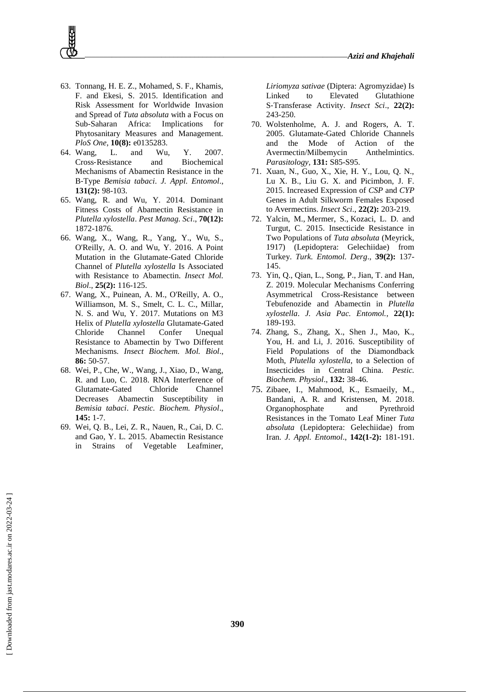- 63. Tonnang, H. E. Z., Mohamed, S. F., Khamis, F. and Ekesi, S. 2015. Identification and Risk Assessment for Worldwide Invasion and Spread of *Tuta absoluta* with a Focus on Sub-Saharan Africa: Implications for Phytosanitary Measures and Management. *PloS One*, **10(8):** e0135283.
- 64. Wang, L. and Wu, Y. 2007. Cross‐Resistance and Biochemical Mechanisms of Abamectin Resistance in the B‐Type *Bemisia tabaci*. *J. Appl. Entomol*., **131(2):** 98-103.
- 65. Wang, R. and Wu, Y. 2014. Dominant Fitness Costs of Abamectin Resistance in *Plutella xylostella*. *Pest Manag. Sci*., **70(12):**  1872-1876.
- 66. Wang, X., Wang, R., Yang, Y., Wu, S., O'Reilly, A. O. and Wu, Y. 2016. A Point Mutation in the Glutamate‐Gated Chloride Channel of *Plutella xylostella* Is Associated with Resistance to Abamectin. *Insect Mol. Biol*., **25(2):** 116-125.
- 67. Wang, X., Puinean, A. M., O'Reilly, A. O., Williamson, M. S., Smelt, C. L. C., Millar, N. S. and Wu, Y. 2017. Mutations on M3 Helix of *Plutella xylostella* Glutamate-Gated Chloride Channel Confer Unequal Resistance to Abamectin by Two Different Mechanisms. *Insect Biochem. Mol. Biol*., **86:** 50-57.
- 68. Wei, P., Che, W., Wang, J., Xiao, D., Wang, R. and Luo, C. 2018. RNA Interference of Glutamate-Gated Chloride Channel Decreases Abamectin Susceptibility in *Bemisia tabaci*. *Pestic. Biochem. Physiol*., **145:** 1-7.
- 69. Wei, Q. B., Lei, Z. R., Nauen, R., Cai, D. C. and Gao, Y. L. 2015. Abamectin Resistance in Strains of Vegetable Leafminer,

*Liriomyza sativae* (Diptera: Agromyzidae) Is Linked to Elevated Glutathione S‐Transferase Activity. *Insect Sci*., **22(2):** 243-250.

- 70. Wolstenholme, A. J. and Rogers, A. T. 2005. Glutamate-Gated Chloride Channels and the Mode of Action of the Avermectin/Milbemycin Anthelmintics. *Parasitology,* **131:** S85-S95.
- 71. Xuan, N., Guo, X., Xie, H. Y., Lou, Q. N., Lu X. B., Liu G. X. and Picimbon, J. F. 2015. Increased Expression of *CSP* and *CYP* Genes in Adult Silkworm Females Exposed to Avermectins. *Insect Sci*., **22(2):** 203-219.
- 72. [Yalcin,](https://scholar.google.com/citations?user=0hcZjDAAAAAJ&hl=en&oi=sra) M., [Mermer,](https://scholar.google.com/citations?user=mRignh0AAAAJ&hl=en&oi=sra) S., Kozaci, L. D. and Turgut, C. 2015. Insecticide Resistance in Two Populations of *Tuta absoluta* (Meyrick, 1917) (Lepidoptera: Gelechiidae) from Turkey. *Turk. Entomol. Derg*., **39(2):** 137- 145.
- 73. Yin, Q., Qian, L., Song, P., Jian, T. and Han, Z. 2019. Molecular Mechanisms Conferring Asymmetrical Cross-Resistance between Tebufenozide and Abamectin in *Plutella xylostella*. *J. Asia Pac. Entomol.*, **22(1):** 189-193.
- 74. Zhang, S., Zhang, X., Shen J., Mao, K., You, H. and Li, J. 2016. Susceptibility of Field Populations of the Diamondback Moth, *Plutella xylostella*, to a Selection of Insecticides in Central China. *Pestic. Biochem. Physiol*., **132:** 38-46.
- 75. Zibaee, I., Mahmood, K., Esmaeily, M., Bandani, A. R. and Kristensen, M. 2018. Organophosphate and Pyrethroid Resistances in the Tomato Leaf Miner *Tuta absoluta* (Lepidoptera: Gelechiidae) from Iran. *J. Appl. Entomol*., **142(1-2):** 181-191.